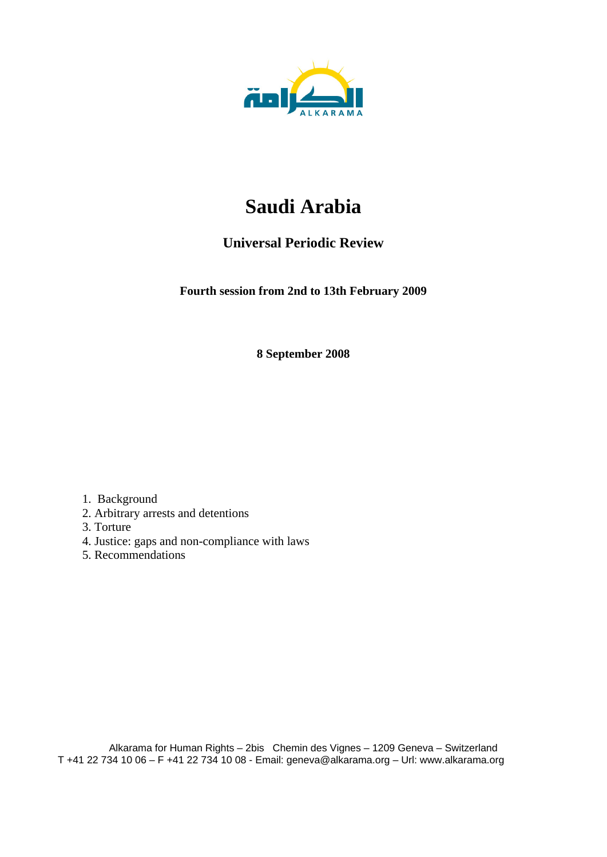

# **Saudi Arabia**

# **Universal Periodic Review**

**Fourth session from 2nd to 13th February 2009** 

**8 September 2008** 

1. Background

- 2. Arbitrary arrests and detentions
- 3. Torture
- 4. Justice: gaps and non-compliance with laws
- 5. Recommendations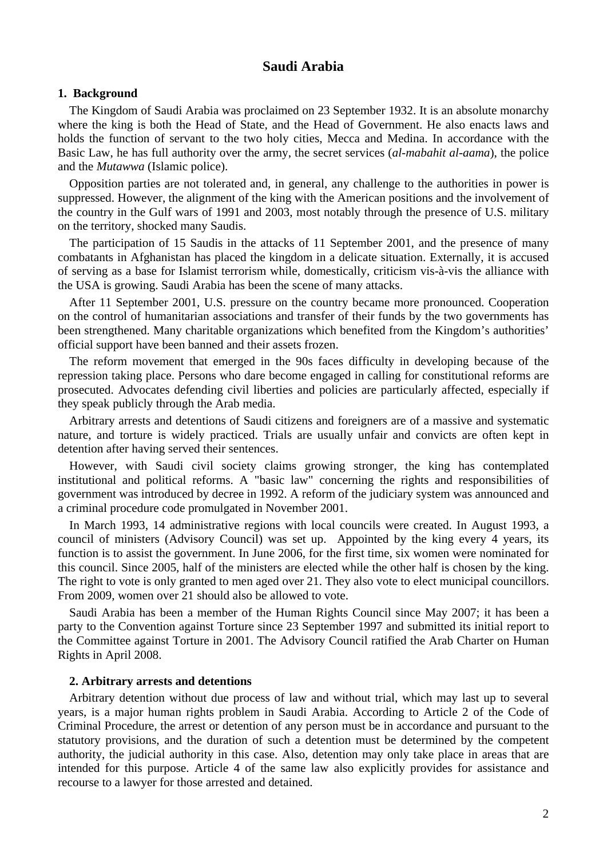## **Saudi Arabia**

#### **1. Background**

The Kingdom of Saudi Arabia was proclaimed on 23 September 1932. It is an absolute monarchy where the king is both the Head of State, and the Head of Government. He also enacts laws and holds the function of servant to the two holy cities, Mecca and Medina. In accordance with the Basic Law, he has full authority over the army, the secret services (*al-mabahit al-aama*), the police and the *Mutawwa* (Islamic police).

Opposition parties are not tolerated and, in general, any challenge to the authorities in power is suppressed. However, the alignment of the king with the American positions and the involvement of the country in the Gulf wars of 1991 and 2003, most notably through the presence of U.S. military on the territory, shocked many Saudis.

The participation of 15 Saudis in the attacks of 11 September 2001, and the presence of many combatants in Afghanistan has placed the kingdom in a delicate situation. Externally, it is accused of serving as a base for Islamist terrorism while, domestically, criticism vis-à-vis the alliance with the USA is growing. Saudi Arabia has been the scene of many attacks.

After 11 September 2001, U.S. pressure on the country became more pronounced. Cooperation on the control of humanitarian associations and transfer of their funds by the two governments has been strengthened. Many charitable organizations which benefited from the Kingdom's authorities' official support have been banned and their assets frozen.

The reform movement that emerged in the 90s faces difficulty in developing because of the repression taking place. Persons who dare become engaged in calling for constitutional reforms are prosecuted. Advocates defending civil liberties and policies are particularly affected, especially if they speak publicly through the Arab media.

Arbitrary arrests and detentions of Saudi citizens and foreigners are of a massive and systematic nature, and torture is widely practiced. Trials are usually unfair and convicts are often kept in detention after having served their sentences.

However, with Saudi civil society claims growing stronger, the king has contemplated institutional and political reforms. A "basic law" concerning the rights and responsibilities of government was introduced by decree in 1992. A reform of the judiciary system was announced and a criminal procedure code promulgated in November 2001.

In March 1993, 14 administrative regions with local councils were created. In August 1993, a council of ministers (Advisory Council) was set up. Appointed by the king every 4 years, its function is to assist the government. In June 2006, for the first time, six women were nominated for this council. Since 2005, half of the ministers are elected while the other half is chosen by the king. The right to vote is only granted to men aged over 21. They also vote to elect municipal councillors. From 2009, women over 21 should also be allowed to vote.

Saudi Arabia has been a member of the Human Rights Council since May 2007; it has been a party to the Convention against Torture since 23 September 1997 and submitted its initial report to the Committee against Torture in 2001. The Advisory Council ratified the Arab Charter on Human Rights in April 2008.

#### **2. Arbitrary arrests and detentions**

Arbitrary detention without due process of law and without trial, which may last up to several years, is a major human rights problem in Saudi Arabia. According to Article 2 of the Code of Criminal Procedure, the arrest or detention of any person must be in accordance and pursuant to the statutory provisions, and the duration of such a detention must be determined by the competent authority, the judicial authority in this case. Also, detention may only take place in areas that are intended for this purpose. Article 4 of the same law also explicitly provides for assistance and recourse to a lawyer for those arrested and detained.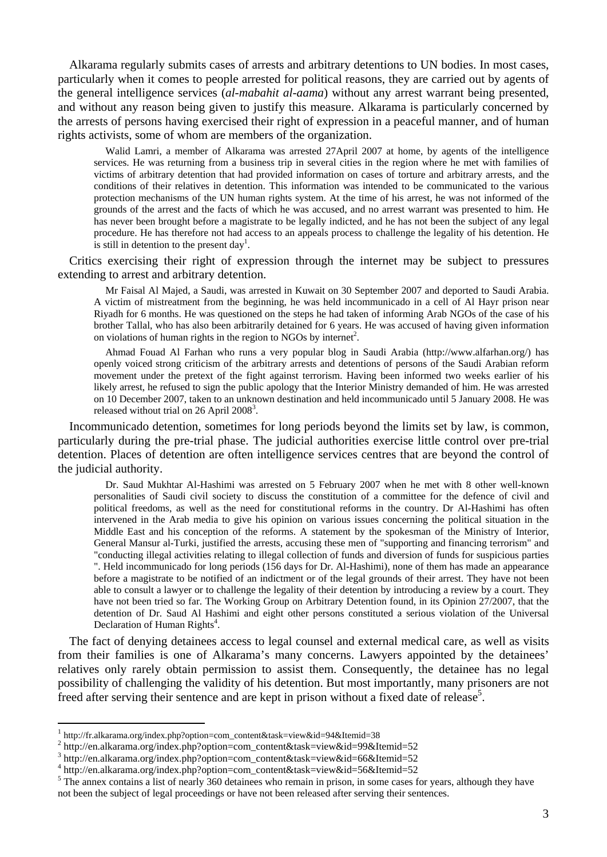Alkarama regularly submits cases of arrests and arbitrary detentions to UN bodies. In most cases, particularly when it comes to people arrested for political reasons, they are carried out by agents of the general intelligence services (*al-mabahit al-aama*) without any arrest warrant being presented, and without any reason being given to justify this measure. Alkarama is particularly concerned by the arrests of persons having exercised their right of expression in a peaceful manner, and of human rights activists, some of whom are members of the organization.

Walid Lamri, a member of Alkarama was arrested 27April 2007 at home, by agents of the intelligence services. He was returning from a business trip in several cities in the region where he met with families of victims of arbitrary detention that had provided information on cases of torture and arbitrary arrests, and the conditions of their relatives in detention. This information was intended to be communicated to the various protection mechanisms of the UN human rights system. At the time of his arrest, he was not informed of the grounds of the arrest and the facts of which he was accused, and no arrest warrant was presented to him. He has never been brought before a magistrate to be legally indicted, and he has not been the subject of any legal procedure. He has therefore not had access to an appeals process to challenge the legality of his detention. He is still in detention to the present day<sup>1</sup>.

Critics exercising their right of expression through the internet may be subject to pressures extending to arrest and arbitrary detention.

Mr Faisal Al Majed, a Saudi, was arrested in Kuwait on 30 September 2007 and deported to Saudi Arabia. A victim of mistreatment from the beginning, he was held incommunicado in a cell of Al Hayr prison near Riyadh for 6 months. He was questioned on the steps he had taken of informing Arab NGOs of the case of his brother Tallal, who has also been arbitrarily detained for 6 years. He was accused of having given information on violations of human rights in the region to NGOs by internet<sup>2</sup>.

Ahmad Fouad Al Farhan who runs a very popular blog in Saudi Arabia (http://www.alfarhan.org/) has openly voiced strong criticism of the arbitrary arrests and detentions of persons of the Saudi Arabian reform movement under the pretext of the fight against terrorism. Having been informed two weeks earlier of his likely arrest, he refused to sign the public apology that the Interior Ministry demanded of him. He was arrested on 10 December 2007, taken to an unknown destination and held incommunicado until 5 January 2008. He was released without trial on 26 April  $2008<sup>3</sup>$ .

Incommunicado detention, sometimes for long periods beyond the limits set by law, is common, particularly during the pre-trial phase. The judicial authorities exercise little control over pre-trial detention. Places of detention are often intelligence services centres that are beyond the control of the judicial authority.

Dr. Saud Mukhtar Al-Hashimi was arrested on 5 February 2007 when he met with 8 other well-known personalities of Saudi civil society to discuss the constitution of a committee for the defence of civil and political freedoms, as well as the need for constitutional reforms in the country. Dr Al-Hashimi has often intervened in the Arab media to give his opinion on various issues concerning the political situation in the Middle East and his conception of the reforms. A statement by the spokesman of the Ministry of Interior, General Mansur al-Turki, justified the arrests, accusing these men of "supporting and financing terrorism" and "conducting illegal activities relating to illegal collection of funds and diversion of funds for suspicious parties ". Held incommunicado for long periods (156 days for Dr. Al-Hashimi), none of them has made an appearance before a magistrate to be notified of an indictment or of the legal grounds of their arrest. They have not been able to consult a lawyer or to challenge the legality of their detention by introducing a review by a court. They have not been tried so far. The Working Group on Arbitrary Detention found, in its Opinion 27/2007, that the detention of Dr. Saud Al Hashimi and eight other persons constituted a serious violation of the Universal Declaration of Human Rights<sup>4</sup>.

The fact of denying detainees access to legal counsel and external medical care, as well as visits from their families is one of Alkarama's many concerns. Lawyers appointed by the detainees' relatives only rarely obtain permission to assist them. Consequently, the detainee has no legal possibility of challenging the validity of his detention. But most importantly, many prisoners are not freed after serving their sentence and are kept in prison without a fixed date of release<sup>5</sup>.

 $\overline{a}$ 

http://fr.alkarama.org/index.php?option=com\_content&task=view&id=94&Itemid=38

<sup>2</sup> http://en.alkarama.org/index.php?option=com\_content&task=view&id=99&Itemid=52

<sup>3</sup> http://en.alkarama.org/index.php?option=com\_content&task=view&id=66&Itemid=52

<sup>4</sup> http://en.alkarama.org/index.php?option=com\_content&task=view&id=56&Itemid=52

 $5$  The annex contains a list of nearly 360 detainees who remain in prison, in some cases for years, although they have not been the subject of legal proceedings or have not been released after serving their sentences.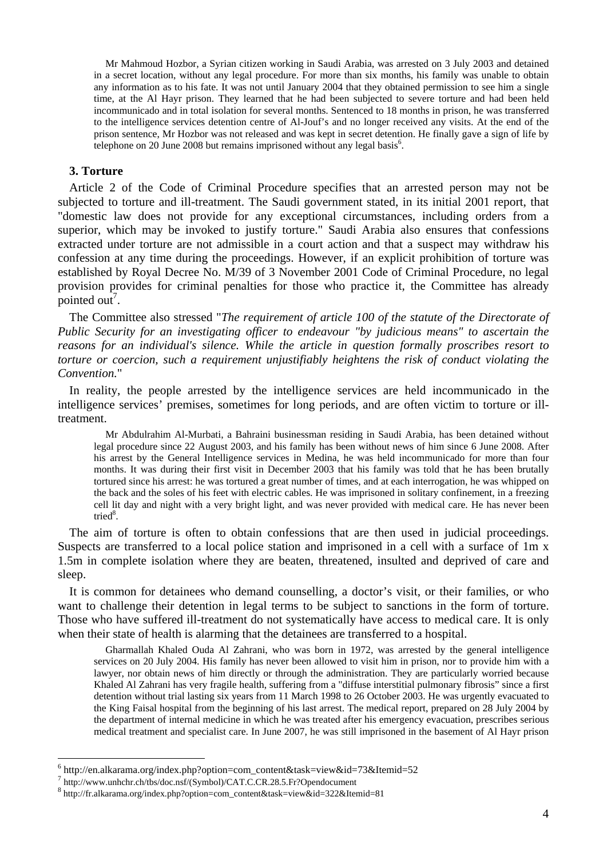Mr Mahmoud Hozbor, a Syrian citizen working in Saudi Arabia, was arrested on 3 July 2003 and detained in a secret location, without any legal procedure. For more than six months, his family was unable to obtain any information as to his fate. It was not until January 2004 that they obtained permission to see him a single time, at the Al Hayr prison. They learned that he had been subjected to severe torture and had been held incommunicado and in total isolation for several months. Sentenced to 18 months in prison, he was transferred to the intelligence services detention centre of Al-Jouf's and no longer received any visits. At the end of the prison sentence, Mr Hozbor was not released and was kept in secret detention. He finally gave a sign of life by telephone on 20 June 2008 but remains imprisoned without any legal basis<sup>6</sup>.

#### **3. Torture**

 $\overline{a}$ 

Article 2 of the Code of Criminal Procedure specifies that an arrested person may not be subjected to torture and ill-treatment. The Saudi government stated, in its initial 2001 report, that "domestic law does not provide for any exceptional circumstances, including orders from a superior, which may be invoked to justify torture." Saudi Arabia also ensures that confessions extracted under torture are not admissible in a court action and that a suspect may withdraw his confession at any time during the proceedings. However, if an explicit prohibition of torture was established by Royal Decree No. M/39 of 3 November 2001 Code of Criminal Procedure, no legal provision provides for criminal penalties for those who practice it, the Committee has already pointed out<sup>7</sup>.

The Committee also stressed "*The requirement of article 100 of the statute of the Directorate of Public Security for an investigating officer to endeavour "by judicious means" to ascertain the reasons for an individual's silence. While the article in question formally proscribes resort to torture or coercion, such a requirement unjustifiably heightens the risk of conduct violating the Convention.*"

In reality, the people arrested by the intelligence services are held incommunicado in the intelligence services' premises, sometimes for long periods, and are often victim to torture or illtreatment.

Mr Abdulrahim Al-Murbati, a Bahraini businessman residing in Saudi Arabia, has been detained without legal procedure since 22 August 2003, and his family has been without news of him since 6 June 2008. After his arrest by the General Intelligence services in Medina, he was held incommunicado for more than four months. It was during their first visit in December 2003 that his family was told that he has been brutally tortured since his arrest: he was tortured a great number of times, and at each interrogation, he was whipped on the back and the soles of his feet with electric cables. He was imprisoned in solitary confinement, in a freezing cell lit day and night with a very bright light, and was never provided with medical care. He has never been tried<sup>8</sup>.

The aim of torture is often to obtain confessions that are then used in judicial proceedings. Suspects are transferred to a local police station and imprisoned in a cell with a surface of 1m x 1.5m in complete isolation where they are beaten, threatened, insulted and deprived of care and sleep.

It is common for detainees who demand counselling, a doctor's visit, or their families, or who want to challenge their detention in legal terms to be subject to sanctions in the form of torture. Those who have suffered ill-treatment do not systematically have access to medical care. It is only when their state of health is alarming that the detainees are transferred to a hospital.

Gharmallah Khaled Ouda Al Zahrani, who was born in 1972, was arrested by the general intelligence services on 20 July 2004. His family has never been allowed to visit him in prison, nor to provide him with a lawyer, nor obtain news of him directly or through the administration. They are particularly worried because Khaled Al Zahrani has very fragile health, suffering from a "diffuse interstitial pulmonary fibrosis" since a first detention without trial lasting six years from 11 March 1998 to 26 October 2003. He was urgently evacuated to the King Faisal hospital from the beginning of his last arrest. The medical report, prepared on 28 July 2004 by the department of internal medicine in which he was treated after his emergency evacuation, prescribes serious medical treatment and specialist care. In June 2007, he was still imprisoned in the basement of Al Hayr prison

<sup>6</sup> http://en.alkarama.org/index.php?option=com\_content&task=view&id=73&Itemid=52

<sup>7</sup> http://www.unhchr.ch/tbs/doc.nsf/(Symbol)/CAT.C.CR.28.5.Fr?Opendocument

<sup>8</sup> http://fr.alkarama.org/index.php?option=com\_content&task=view&id=322&Itemid=81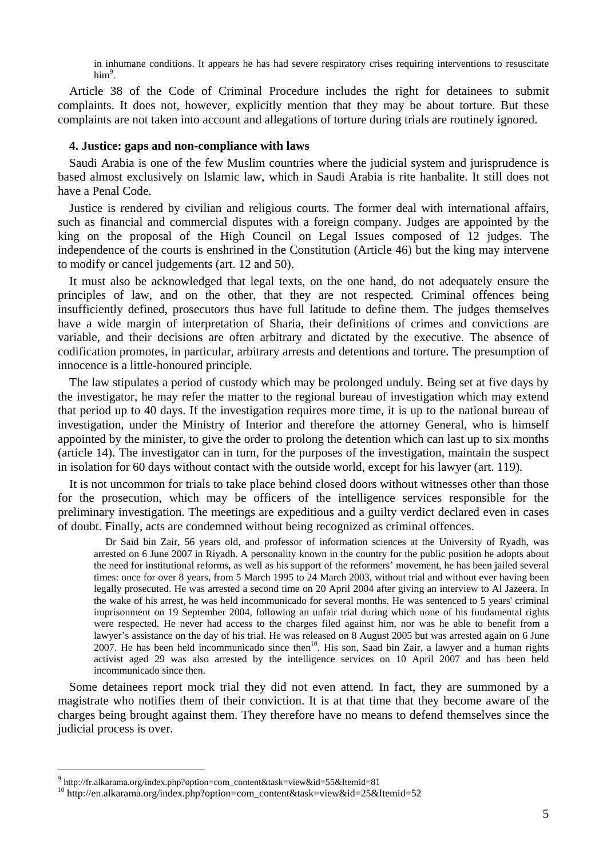in inhumane conditions. It appears he has had severe respiratory crises requiring interventions to resuscitate him<sup>9</sup>.

Article 38 of the Code of Criminal Procedure includes the right for detainees to submit complaints. It does not, however, explicitly mention that they may be about torture. But these complaints are not taken into account and allegations of torture during trials are routinely ignored.

#### **4. Justice: gaps and non-compliance with laws**

Saudi Arabia is one of the few Muslim countries where the judicial system and jurisprudence is based almost exclusively on Islamic law, which in Saudi Arabia is rite hanbalite. It still does not have a Penal Code.

Justice is rendered by civilian and religious courts. The former deal with international affairs, such as financial and commercial disputes with a foreign company. Judges are appointed by the king on the proposal of the High Council on Legal Issues composed of 12 judges. The independence of the courts is enshrined in the Constitution (Article 46) but the king may intervene to modify or cancel judgements (art. 12 and 50).

It must also be acknowledged that legal texts, on the one hand, do not adequately ensure the principles of law, and on the other, that they are not respected. Criminal offences being insufficiently defined, prosecutors thus have full latitude to define them. The judges themselves have a wide margin of interpretation of Sharia, their definitions of crimes and convictions are variable, and their decisions are often arbitrary and dictated by the executive. The absence of codification promotes, in particular, arbitrary arrests and detentions and torture. The presumption of innocence is a little-honoured principle.

The law stipulates a period of custody which may be prolonged unduly. Being set at five days by the investigator, he may refer the matter to the regional bureau of investigation which may extend that period up to 40 days. If the investigation requires more time, it is up to the national bureau of investigation, under the Ministry of Interior and therefore the attorney General, who is himself appointed by the minister, to give the order to prolong the detention which can last up to six months (article 14). The investigator can in turn, for the purposes of the investigation, maintain the suspect in isolation for 60 days without contact with the outside world, except for his lawyer (art. 119).

It is not uncommon for trials to take place behind closed doors without witnesses other than those for the prosecution, which may be officers of the intelligence services responsible for the preliminary investigation. The meetings are expeditious and a guilty verdict declared even in cases of doubt. Finally, acts are condemned without being recognized as criminal offences.

Dr Said bin Zair, 56 years old, and professor of information sciences at the University of Ryadh, was arrested on 6 June 2007 in Riyadh. A personality known in the country for the public position he adopts about the need for institutional reforms, as well as his support of the reformers' movement, he has been jailed several times: once for over 8 years, from 5 March 1995 to 24 March 2003, without trial and without ever having been legally prosecuted. He was arrested a second time on 20 April 2004 after giving an interview to Al Jazeera. In the wake of his arrest, he was held incommunicado for several months. He was sentenced to 5 years' criminal imprisonment on 19 September 2004, following an unfair trial during which none of his fundamental rights were respected. He never had access to the charges filed against him, nor was he able to benefit from a lawyer's assistance on the day of his trial. He was released on 8 August 2005 but was arrested again on 6 June 2007. He has been held incommunicado since then<sup>10</sup>. His son, Saad bin Zair, a lawyer and a human rights activist aged 29 was also arrested by the intelligence services on 10 April 2007 and has been held incommunicado since then.

Some detainees report mock trial they did not even attend. In fact, they are summoned by a magistrate who notifies them of their conviction. It is at that time that they become aware of the charges being brought against them. They therefore have no means to defend themselves since the judicial process is over.

 $\overline{a}$ 

<sup>&</sup>lt;sup>9</sup> http://fr.alkarama.org/index.php?option=com\_content&task=view&id=55&Itemid=81<br><sup>10</sup> http://en.alkarama.org/index.php?option=com\_content&task=view&id=25&Itemid=52